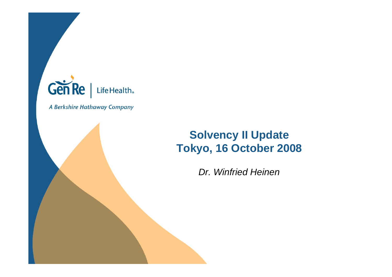

A Berkshire Hathaway Company

### **Solvency II Update Tokyo, 16 October 2008**

*Dr. Winfried Heinen*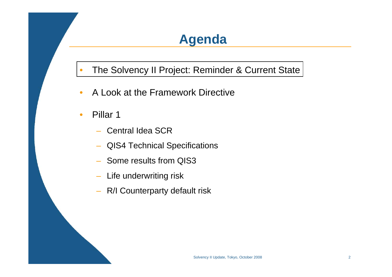### **Agenda**

•The Solvency II Project: Reminder & Current State

- $\bullet$ A Look at the Framework Directive
- •• Pillar 1
	- Central Idea SCR
	- –QIS4 Technical Specifications
	- Some results from QIS3
	- Life underwriting risk
	- R/I Counterparty default risk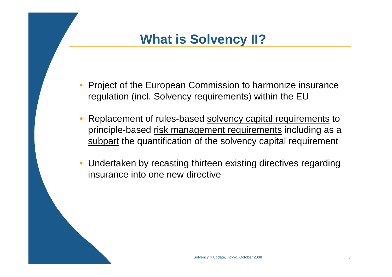### **What is Solvency II?**

- • Project of the European Commission to harmonize insurance regulation (incl. Solvency requirements) within the EU
- •Replacement of rules-based solvency capital requirements to principle-based risk management requirements including as a subpart the quantification of the solvency capital requirement
- $\bullet$  Undertaken by recasting thirteen existing directives regarding insurance into one new directive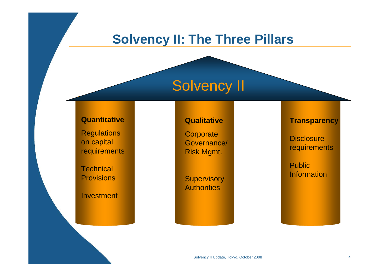### **Solvency II: The Three Pillars**

# Solvency II

#### **Quantitative**

**Regulations** on capital **requirements** 

**Technical Provisions** 

Investment

#### **Qualitative**

**Corporate** Governance/ Risk Mgmt.

**Supervisory Authorities** 

#### **Transparency**

**Disclosure requirements** 

Public **Information**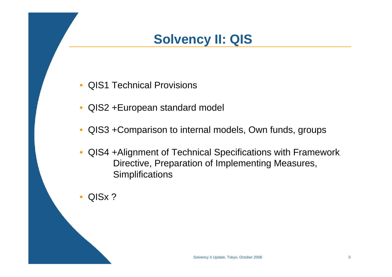### **Solvency II: QIS**

- •QIS1 Technical Provisions
- $\bullet$ QIS2 +European standard model
- $\bullet$ QIS3 +Comparison to internal models, Own funds, groups
- $\bullet$  QIS4 +Alignment of Technical Specifications with Framework Directive, Preparation of Implementing Measures, **Simplifications**
- •QISx ?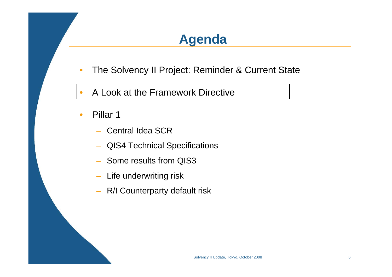### **Agenda**

- •The Solvency II Project: Reminder & Current State
- •• A Look at the Framework Directive
- •• Pillar 1
	- Central Idea SCR
	- –QIS4 Technical Specifications
	- Some results from QIS3
	- Life underwriting risk
	- R/I Counterparty default risk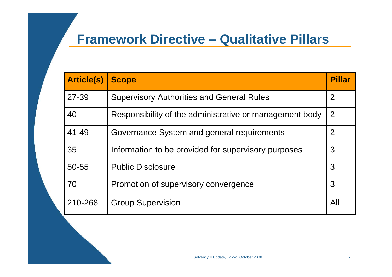### **Framework Directive – Qualitative Pillars**

| <b>Article(s)</b> | <b>Scope</b>                                            | <b>Pillar</b>  |
|-------------------|---------------------------------------------------------|----------------|
| 27-39             | <b>Supervisory Authorities and General Rules</b>        | $\overline{2}$ |
| 40                | Responsibility of the administrative or management body | 2              |
| 41-49             | Governance System and general requirements              | $\overline{2}$ |
| 35                | Information to be provided for supervisory purposes     | 3              |
| $50 - 55$         | <b>Public Disclosure</b>                                | 3              |
| 70                | Promotion of supervisory convergence                    | 3              |
| 210-268           | <b>Group Supervision</b>                                | All            |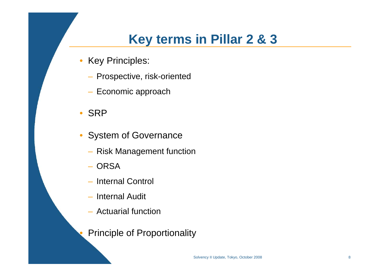### **Key terms in Pillar 2 & 3**

- Key Principles:
	- Prospective, risk-oriented
	- Economic approach
- SRP

•

- $\bullet$  System of Governance
	- Risk Management function
	- ORSA
	- Internal Control
	- Internal Audit
	- Actuarial function
	- Principle of Proportionality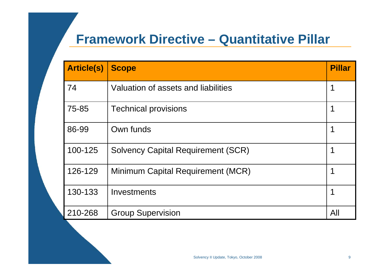### **Framework Directive – Quantitative Pillar**

| <b>Article(s)</b> | <b>Scope</b>                              | <b>Pillar</b> |
|-------------------|-------------------------------------------|---------------|
| 74                | Valuation of assets and liabilities       |               |
| 75-85             | <b>Technical provisions</b>               |               |
| 86-99             | Own funds                                 |               |
| 100-125           | <b>Solvency Capital Requirement (SCR)</b> |               |
| 126-129           | Minimum Capital Requirement (MCR)         |               |
| 130-133           | Investments                               |               |
| 210-268           | <b>Group Supervision</b>                  | All           |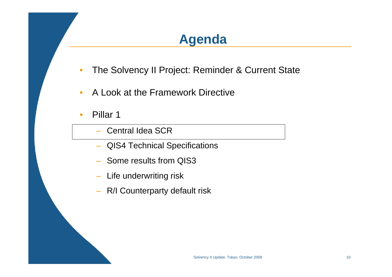### **Agenda**

- •The Solvency II Project: Reminder & Current State
- $\bullet$ A Look at the Framework Directive
- $\bullet$ • Pillar 1
	- Central Idea SCR
	- QIS4 Technical Specifications
	- Some results from QIS3
	- Life underwriting risk
	- R/I Counterparty default risk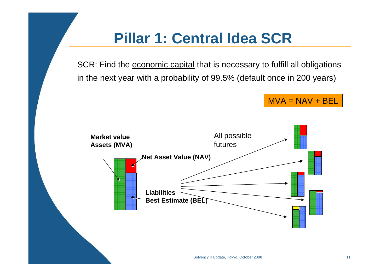# **Pillar 1: Central Idea SCR**

SCR: Find the economic capital that is necessary to fulfill all obligations in the next year with a probability of 99.5% (default once in 200 years)

 $MVA = NAV + BEL$ 

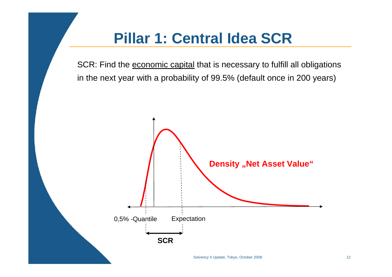# **Pillar 1: Central Idea SCR**

SCR: Find the economic capital that is necessary to fulfill all obligations in the next year with a probability of 99.5% (default once in 200 years)

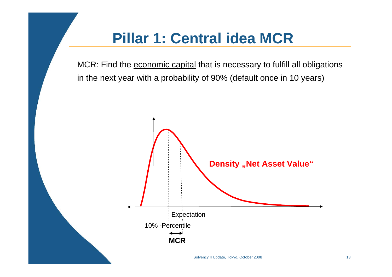# **Pillar 1: Central idea MCR**

MCR: Find the economic capital that is necessary to fulfill all obligations in the next year with a probability of 90% (default once in 10 years)

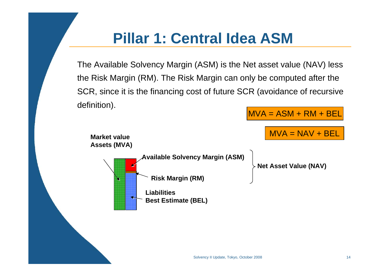# **Pillar 1: Central Idea ASM**

The Available Solvency Margin (ASM) is the Net asset value (NAV) less the Risk Margin (RM). The Risk Margin can only be computed after the SCR, since it is the financing cost of future SCR (avoidance of recursive definition).

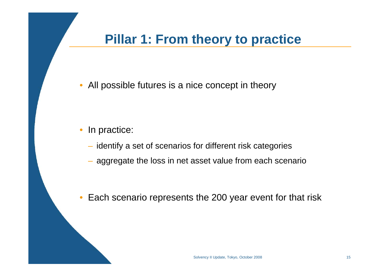### **Pillar 1: From theory to practice**

 $\bullet$ All possible futures is a nice concept in theory

#### $\bullet$ In practice:

- identify a set of scenarios for different risk categories
- aggregate the loss in net asset value from each scenario
- $\bullet$ Each scenario represents the 200 year event for that risk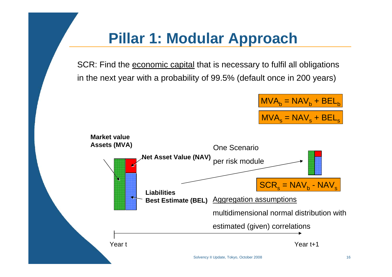# **Pillar 1: Modular Approach**

SCR: Find the economic capital that is necessary to fulfil all obligations in the next year with a probability of 99.5% (default once in 200 years)

$$
\frac{\text{MVA}_b = \text{NAV}_b + \text{BEL}_b}{\text{MVA}_s = \text{NAV}_s + \text{BEL}_s}
$$

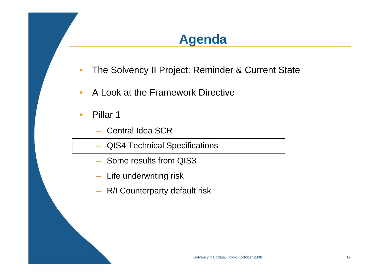### **Agenda**

- •The Solvency II Project: Reminder & Current State
- $\bullet$ A Look at the Framework Directive
- •• Pillar 1
	- Central Idea SCR
	- QIS4 Technical Specifications
	- Some results from QIS3
	- Life underwriting risk
	- R/I Counterparty default risk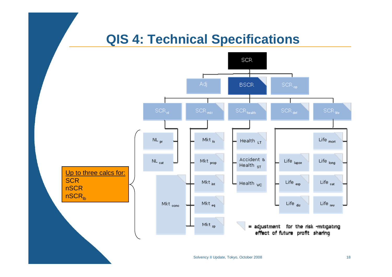### **QIS 4: Technical Specifications**

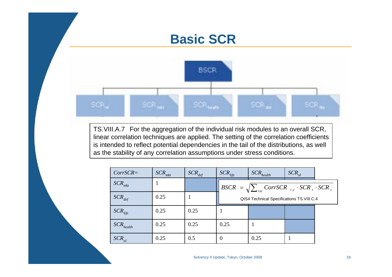### **Basic SCR**



TS.VIII.A.7 For the aggregation of the individual risk modules to an overall SCR, linear correlation techniques are applied. The setting of the correlation coefficients is intended to reflect potential dependencies in the tail of the distributions, as well as the stability of any correlation assumptions under stress conditions.

| $CorrSCR =$             | $SCR$ <sub>mkt</sub> | $SCR_{def}$ | $SCR_{life}$ | $SCR_{health}$                                                       | $SCR_{nl}$ |  |
|-------------------------|----------------------|-------------|--------------|----------------------------------------------------------------------|------------|--|
| $SCR$ <sub>mkt</sub>    |                      |             |              | $BSCR = \sqrt{\sum_{rxc} CorrSCR_{r,c} \cdot SCR_{r} \cdot SCR_{c}}$ |            |  |
| $SCR_{def}$             | 0.25                 |             |              | QIS4 Technical Specifications TS.VIII.C.4                            |            |  |
| $SCR_{life}$            | 0.25                 | 0.25        |              |                                                                      |            |  |
| $SCR_{\textit{health}}$ | 0.25                 | 0.25        | 0.25         |                                                                      |            |  |
| $SCR_{nl}$              | 0.25                 | 0.5         | $\theta$     | 0.25                                                                 |            |  |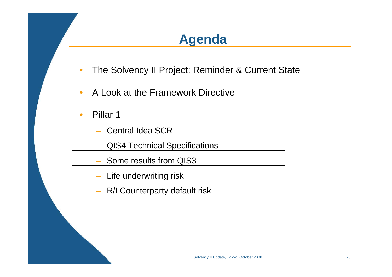### **Agenda**

- •The Solvency II Project: Reminder & Current State
- $\bullet$ A Look at the Framework Directive
- •• Pillar 1
	- –– Central Idea SCR
	- QIS4 Technical Specifications
	- Some results from QIS3
	- Life underwriting risk
	- R/I Counterparty default risk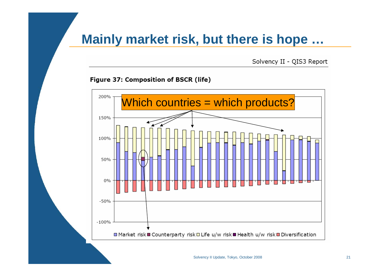### **Mainly market risk, but there is hope …**

Solvency II - QIS3 Report

#### Figure 37: Composition of BSCR (life)



Solvency II Update, Tokyo, October 2008 21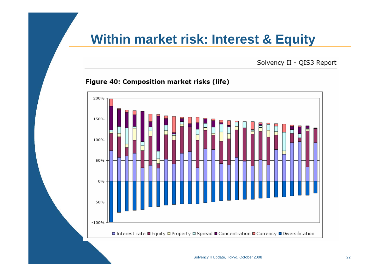### **Within market risk: Interest & Equity**

Solvency II - QIS3 Report

#### Figure 40: Composition market risks (life)



Solvency II Update, Tokyo, October 2008 22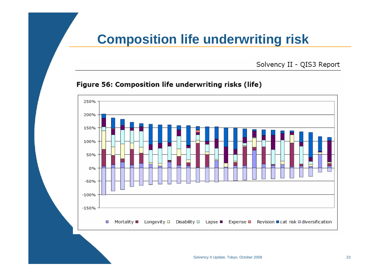### **Composition life underwriting risk**

Solvency II - QIS3 Report

#### Figure 56: Composition life underwriting risks (life)

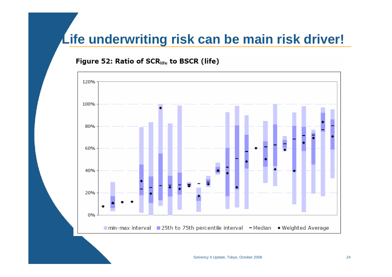### **Life underwriting risk can be main risk driver!**

#### Figure 52: Ratio of SCR<sub>life</sub> to BSCR (life)

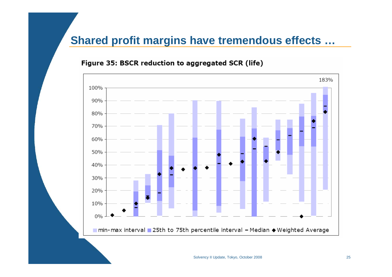### **Shared profit margins have tremendous effects …**

### 183% 100% 90% 80% 70% 60% 50% 40% 30% 20% 10%  $0%$ ■ min- max interval ■ 25th to 75th percentile interval - Median ◆ Weighted Average

#### Figure 35: BSCR reduction to aggregated SCR (life)

Solvency II Update, Tokyo, October 2008 25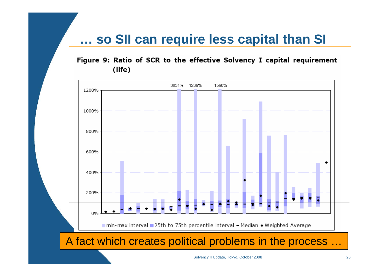### **… so SII can require less capital than SI**

Figure 9: Ratio of SCR to the effective Solvency I capital requirement (life)



Solvency II Update, Tokyo, October 2008 26 26 2008 26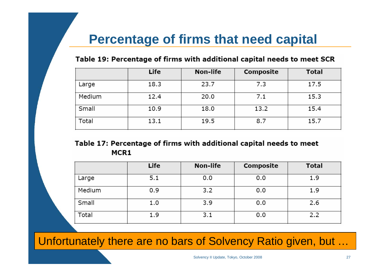### **Percentage of firms that need capital**

#### Table 19: Percentage of firms with additional capital needs to meet SCR

|        | Life | Non-life | Composite | <b>Total</b> |
|--------|------|----------|-----------|--------------|
| Large  | 18.3 | 23.7     | 7.3       | 17.5         |
| Medium | 12.4 | 20.0     | 7.1       | 15.3         |
| Small  | 10.9 | 18.0     | 13.2      | 15.4         |
| Total  | 13.1 | 19.5     | 8.7       | 15.7         |

#### Table 17: Percentage of firms with additional capital needs to meet MCR1

|        | Life | Non-life | Composite | <b>Total</b> |
|--------|------|----------|-----------|--------------|
| Large  | 5.1  | 0.0      | 0.0       | 1.9          |
| Medium | 0.9  | 3.2      | 0.0       | 1.9          |
| Small  | 1.0  | 3.9      | 0.0       | 2.6          |
| Total  | 1.9  | 3.1      | 0.0       | 2.2          |

Unfortunately there are no bars of Solvency Ratio given, but …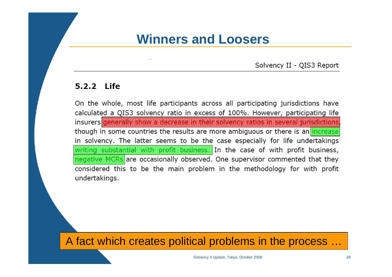### **Winners and Loosers**

Solvency II - QIS3 Report

#### 5.2.2 Life

On the whole, most life participants across all participating jurisdictions have calculated a QIS3 solvency ratio in excess of 100%. However, participating life insurers generally show a decrease in their solvency ratios in several jurisdictions though in some countries the results are more ambiguous or there is an increase in solvency. The latter seems to be the case especially for life undertakings writing substantial with profit business. In the case of with profit business, negative MCRs are occasionally observed. One supervisor commented that they considered this to be the main problem in the methodology for with profit undertakings.

A fact which creates political problems in the process …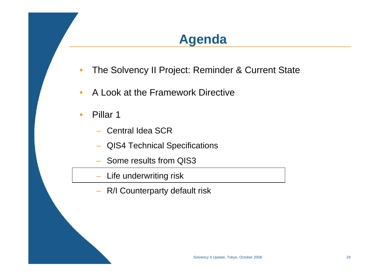### **Agenda**

- •The Solvency II Project: Reminder & Current State
- $\bullet$ A Look at the Framework Directive
- •• Pillar 1
	- Central Idea SCR
	- QIS4 Technical Specifications
	- Some results from QIS3
	- Life underwriting risk
	- R/I Counterparty default risk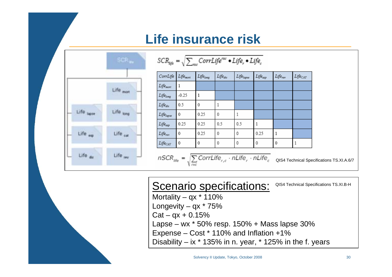### **Life insurance risk**



|  | F 1979<br>ATLIJE – | r∐ife •Life | __ |
|--|--------------------|-------------|----|
|  |                    |             |    |

| CorrLife             | Life <sub>mort</sub> | Life <sub>long</sub> | Lifedis                                                                                 | Lifelapse | Life <sub>exp</sub> | Life <sub>rev</sub> | $Life_{CAT}$                              |
|----------------------|----------------------|----------------------|-----------------------------------------------------------------------------------------|-----------|---------------------|---------------------|-------------------------------------------|
| Life <sub>mort</sub> | 1                    |                      |                                                                                         |           |                     |                     |                                           |
| Lifelong             | $-0.25$              | 1                    |                                                                                         |           |                     |                     |                                           |
| $Life_{dis}$         | 0.5                  | 0                    | 1                                                                                       |           |                     |                     |                                           |
| Lifelapse            | 0                    | 0.25                 | 0                                                                                       |           |                     |                     |                                           |
| Lifeccp              | 0.25                 | 0.25                 | 0.5                                                                                     | 0.5       | 1                   |                     |                                           |
| $Life_{rev}$         | $\mathbf 0$          | 0.25                 | 0                                                                                       | 0         | 0.25                | 1                   |                                           |
| Lifecar              | $\theta$             | 0                    | 0                                                                                       | 0         | 0                   | $\theta$            |                                           |
|                      |                      |                      | $nSCR_{\text{site}} = \sqrt{\sum_{rxc} CorrLife_{r,c} \cdot nLife_{r} \cdot nLife_{c}}$ |           |                     |                     | QIS4 Technical Specifications TS.XI.A.6/7 |

#### Scenario specifications: QIS4 Technical Specifications TS.XI.B-H

Mortality –  $qx * 110%$ Longevity  $-$  qx  $*$  75%  $Cat - qx + 0.15%$ Lapse – wx \* 50% resp. 150% + Mass lapse 30% Expense – Cost \* 110% and Inflation +1% Disability – ix  $*$  135% in n. year,  $*$  125% in the f. years

Solvency II Update, Tokyo, October 2008 30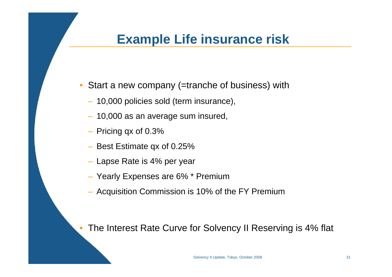### **Example Life insurance risk**

- Start a new company (=tranche of business) with
	- 10,000 policies sold (term insurance),
	- 10,000 as an average sum insured,
	- Pricing qx of 0.3%
	- Best Estimate qx of 0.25%
	- Lapse Rate is 4% per year
	- Yearly Expenses are 6% \* Premium
	- Acquisition Commission is 10% of the FY Premium

•The Interest Rate Curve for Solvency II Reserving is 4% flat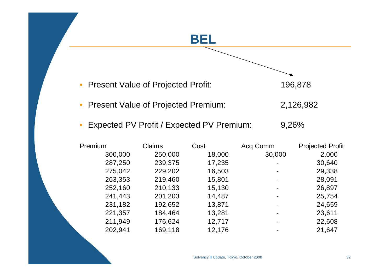### **BEL**

 $\bullet$ Present Value of Projected Profit: 196,878



- $\bullet$ Present Value of Projected Premium: 2,126,982
- $\bullet$ Expected PV Profit / Expected PV Premium: 9,26%

| Premium | <b>Claims</b> | Cost   | Acq Comm | <b>Projected Profit</b> |
|---------|---------------|--------|----------|-------------------------|
| 300,000 | 250,000       | 18,000 | 30,000   | 2,000                   |
| 287,250 | 239,375       | 17,235 |          | 30,640                  |
| 275,042 | 229,202       | 16,503 |          | 29,338                  |
| 263,353 | 219,460       | 15,801 | ۰        | 28,091                  |
| 252,160 | 210,133       | 15,130 | ۰        | 26,897                  |
| 241,443 | 201,203       | 14,487 |          | 25,754                  |
| 231,182 | 192,652       | 13,871 |          | 24,659                  |
| 221,357 | 184,464       | 13,281 |          | 23,611                  |
| 211,949 | 176,624       | 12,717 |          | 22,608                  |
| 202,941 | 169,118       | 12,176 |          | 21,647                  |
|         |               |        |          |                         |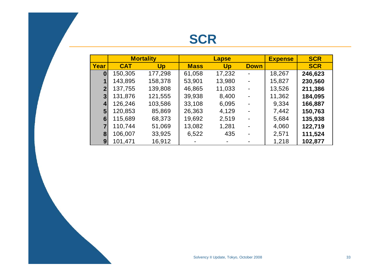|                |            | <b>Mortality</b> | <b>Lapse</b> |        |                | <b>Expense</b> | <b>SCR</b> |
|----------------|------------|------------------|--------------|--------|----------------|----------------|------------|
| Year           | <b>CAT</b> | Up               | <b>Mass</b>  | Up     | <b>Down</b>    |                | <b>SCR</b> |
| $\bf{0}$       | 150,305    | 177,298          | 61,058       | 17,232 |                | 18,267         | 246,623    |
|                | 143,895    | 158,378          | 53,901       | 13,980 |                | 15,827         | 230,560    |
| 2 <sup>1</sup> | 137,755    | 139,808          | 46,865       | 11,033 | $\blacksquare$ | 13,526         | 211,386    |
| 3              | 131,876    | 121,555          | 39,938       | 8,400  | $\blacksquare$ | 11,362         | 184,095    |
| 4              | 126,246    | 103,586          | 33,108       | 6,095  |                | 9,334          | 166,887    |
| 5 <sup>5</sup> | 120,853    | 85,869           | 26,363       | 4,129  |                | 7,442          | 150,763    |
| 6              | 115,689    | 68,373           | 19,692       | 2,519  |                | 5,684          | 135,938    |
| $\overline{7}$ | 110,744    | 51,069           | 13,082       | 1,281  |                | 4,060          | 122,719    |
| 8              | 106,007    | 33,925           | 6,522        | 435    |                | 2,571          | 111,524    |
| $9^{\circ}$    | 101,471    | 16,912           |              |        |                | 1,218          | 102,877    |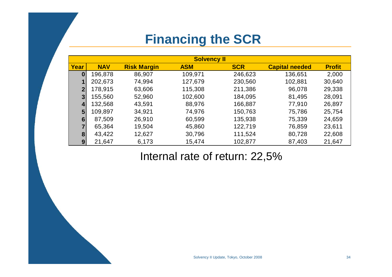### **Financing the SCR**

|              | <b>Solvency II</b> |                    |            |            |                       |               |  |  |  |  |
|--------------|--------------------|--------------------|------------|------------|-----------------------|---------------|--|--|--|--|
| Year         | <b>NAV</b>         | <b>Risk Margin</b> | <b>ASM</b> | <b>SCR</b> | <b>Capital needed</b> | <b>Profit</b> |  |  |  |  |
| $\bf{0}$     | 196,878            | 86,907             | 109,971    | 246,623    | 136,651               | 2,000         |  |  |  |  |
|              | 202,673            | 74,994             | 127,679    | 230,560    | 102,881               | 30,640        |  |  |  |  |
| $\mathbf{2}$ | 178,915            | 63,606             | 115,308    | 211,386    | 96,078                | 29,338        |  |  |  |  |
| 3            | 155,560            | 52,960             | 102,600    | 184,095    | 81,495                | 28,091        |  |  |  |  |
| 4            | 132,568            | 43,591             | 88,976     | 166,887    | 77,910                | 26,897        |  |  |  |  |
| 5            | 109,897            | 34,921             | 74,976     | 150,763    | 75,786                | 25,754        |  |  |  |  |
| 6            | 87,509             | 26,910             | 60,599     | 135,938    | 75,339                | 24,659        |  |  |  |  |
| 7            | 65,364             | 19,504             | 45,860     | 122,719    | 76,859                | 23,611        |  |  |  |  |
| 8            | 43,422             | 12,627             | 30,796     | 111,524    | 80,728                | 22,608        |  |  |  |  |
| 9            | 21,647             | 6,173              | 15,474     | 102,877    | 87,403                | 21,647        |  |  |  |  |

### Internal rate of return: 22,5%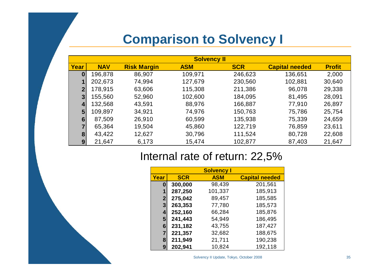### **Comparison to Solvency I**

|                | <b>Solvency II</b> |                    |            |            |                       |               |  |  |  |  |
|----------------|--------------------|--------------------|------------|------------|-----------------------|---------------|--|--|--|--|
| Year           | <b>NAV</b>         | <b>Risk Margin</b> | <b>ASM</b> | <b>SCR</b> | <b>Capital needed</b> | <b>Profit</b> |  |  |  |  |
| $\bf{0}$       | 196,878            | 86,907             | 109,971    | 246,623    | 136,651               | 2,000         |  |  |  |  |
|                | 202,673            | 74,994             | 127,679    | 230,560    | 102,881               | 30,640        |  |  |  |  |
| $\overline{2}$ | 178,915            | 63,606             | 115,308    | 211,386    | 96,078                | 29,338        |  |  |  |  |
| 3              | 155,560            | 52,960             | 102,600    | 184,095    | 81,495                | 28,091        |  |  |  |  |
| 4              | 132,568            | 43,591             | 88,976     | 166,887    | 77,910                | 26,897        |  |  |  |  |
| 5              | 109,897            | 34,921             | 74,976     | 150,763    | 75,786                | 25,754        |  |  |  |  |
| 6              | 87,509             | 26,910             | 60,599     | 135,938    | 75,339                | 24,659        |  |  |  |  |
| $\overline{7}$ | 65,364             | 19,504             | 45,860     | 122,719    | 76,859                | 23,611        |  |  |  |  |
| 8              | 43,422             | 12,627             | 30,796     | 111,524    | 80,728                | 22,608        |  |  |  |  |
| 9              | 21,647             | 6,173              | 15,474     | 102,877    | 87,403                | 21,647        |  |  |  |  |

### Internal rate of return: 22,5%

|              |            | <b>Solvency I</b> |                       |
|--------------|------------|-------------------|-----------------------|
| Year         | <b>SCR</b> | <b>ASM</b>        | <b>Capital needed</b> |
| 0            | 300,000    | 98,439            | 201,561               |
| 1            | 287,250    | 101,337           | 185,913               |
| $\mathbf{2}$ | 275,042    | 89,457            | 185,585               |
| $\mathbf{3}$ | 263,353    | 77,780            | 185,573               |
| 4            | 252,160    | 66,284            | 185,876               |
| 5            | 241,443    | 54,949            | 186,495               |
| 6            | 231,182    | 43,755            | 187,427               |
| 7            | 221,357    | 32,682            | 188,675               |
| 8            | 211,949    | 21,711            | 190,238               |
| 9            | 202,941    | 10,824            | 192,118               |

Solvency II Update, Tokyo, October 2008 35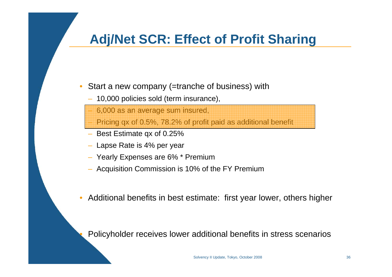### **Adj/Net SCR: Effect of Profit Sharing**

- • Start a new company (=tranche of business) with
	- 10,000 policies sold (term insurance),

6,000 as an average sum insured,

Pricing qx of 0.5%, 78.2% of profit paid as additional benefit

- Best Estimate qx of 0.25%
- Lapse Rate is 4% per year

•

- Yearly Expenses are 6% \* Premium
- Acquisition Commission is 10% of the FY Premium
- $\bullet$ Additional benefits in best estimate: first year lower, others higher

Policyholder receives lower additional benefits in stress scenarios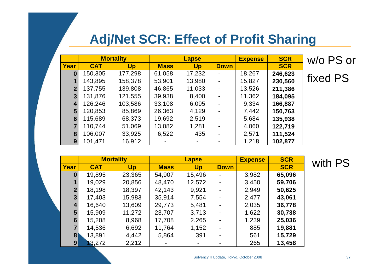### **Adj/Net SCR: Effect of Profit Sharing**

|                         |            | <b>Mortality</b> | <b>Lapse</b> |        |                | <b>Expense</b> | <b>SCR</b> | w/o PS or |
|-------------------------|------------|------------------|--------------|--------|----------------|----------------|------------|-----------|
| Year                    | <b>CAT</b> | <b>Up</b>        | <b>Mass</b>  | Up     | <b>Down</b>    |                | <b>SCR</b> |           |
| $\mathbf{0}$            | 150,305    | 177,298          | 61,058       | 17,232 | $\blacksquare$ | 18,267         | 246,623    |           |
|                         | 143,895    | 158,378          | 53,901       | 13,980 | $\blacksquare$ | 15,827         | 230,560    | fixed PS  |
| $\overline{2}$          | 137,755    | 139,808          | 46,865       | 11,033 | $\blacksquare$ | 13,526         | 211,386    |           |
| 3 <sup>1</sup>          | 131,876    | 121,555          | 39,938       | 8,400  | $\blacksquare$ | 11,362         | 184,095    |           |
| $\vert$                 | 126,246    | 103,586          | 33,108       | 6,095  | ٠              | 9,334          | 166,887    |           |
| 5 <sub>1</sub>          | 120,853    | 85,869           | 26,363       | 4,129  | ۰              | 7,442          | 150,763    |           |
| 6 <sup>1</sup>          | 115,689    | 68,373           | 19,692       | 2,519  | $\blacksquare$ | 5,684          | 135,938    |           |
| $\overline{\mathbf{7}}$ | 110,744    | 51,069           | 13,082       | 1,281  | ۰              | 4,060          | 122,719    |           |
| 8 <sup>1</sup>          | 106,007    | 33,925           | 6,522        | 435    | $\blacksquare$ | 2,571          | 111,524    |           |
| 9 <sub>l</sub>          | 101,471    | 16,912           |              |        |                | 1,218          | 102,877    |           |

|                |            | <b>Mortality</b> | <b>Lapse</b> |           |                | <b>Expense</b> | <b>SCR</b> | with |
|----------------|------------|------------------|--------------|-----------|----------------|----------------|------------|------|
| Year           | <b>CAT</b> | <b>Up</b>        | <b>Mass</b>  | <b>Up</b> | <b>Down</b>    |                | <b>SCR</b> |      |
| 0              | 19,895     | 23,365           | 54,907       | 15,496    |                | 3,982          | 65,096     |      |
|                | 19,029     | 20,856           | 48,470       | 12,572    |                | 3,450          | 59,706     |      |
| 2 <sub>1</sub> | 18,198     | 18,397           | 42,143       | 9,921     | $\blacksquare$ | 2,949          | 50,625     |      |
| 3 <sup>1</sup> | 17,403     | 15,983           | 35,914       | 7,554     | $\blacksquare$ | 2,477          | 43,061     |      |
| 4              | 16,640     | 13,609           | 29,773       | 5,481     |                | 2,035          | 36,778     |      |
| 5 <sub>5</sub> | 15,909     | 11,272           | 23,707       | 3,713     |                | 1,622          | 30,738     |      |
| 6              | 15,208     | 8,968            | 17,708       | 2,265     | $\blacksquare$ | 1,239          | 25,036     |      |
| $\overline{7}$ | 14,536     | 6,692            | 11,764       | 1,152     | $\blacksquare$ | 885            | 19,881     |      |
| 8 <sup>1</sup> | 13,891     | 4,442            | 5,864        | 391       | $\blacksquare$ | 561            | 15,729     |      |
| 9 <sub>l</sub> | 3,272      | 2,212            |              |           |                | 265            | 13,458     |      |

Solvency II Update, Tokyo, October 2008 37

PS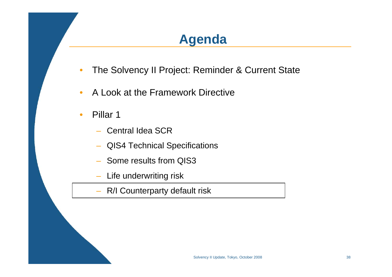### **Agenda**

- •The Solvency II Project: Reminder & Current State
- $\bullet$ A Look at the Framework Directive
- •• Pillar 1
	- Central Idea SCR
	- QIS4 Technical Specifications
	- Some results from QIS3
	- –Life underwriting risk
	- –R/I Counterparty default risk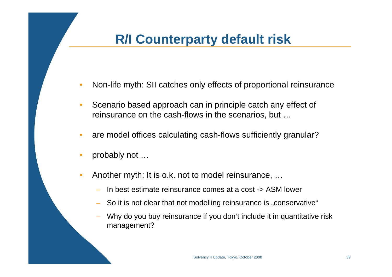### **R/I Counterparty default risk**

- •Non-life myth: SII catches only effects of proportional reinsurance
- $\bullet$  Scenario based approach can in principle catch any effect of reinsurance on the cash-flows in the scenarios, but …
- $\bullet$ are model offices calculating cash-flows sufficiently granular?
- $\bullet$ probably not …
- • Another myth: It is o.k. not to model reinsurance, …
	- In best estimate reinsurance comes at a cost -> ASM lower
	- So it is not clear that not modelling reinsurance is "conservative"
	- Why do you buy reinsurance if you don't include it in quantitative risk management?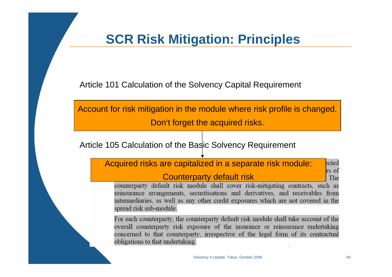### **SCR Risk Mitigation: Principles**

Article 101 Calculation of the Solvency Capital Requirement

 $\overline{\phantom{a}}$ Account for risk mitigation in the module where risk profile is changed. Don't forget the acquired risks.

Article 105 Calculation of the Basic Solvency Requirement

Acquired risks are capitalized in a separate risk module: ected rs of Counterparty default riskThe

counterparty default risk module shall cover risk-mitigating contracts, such as reinsurance arrangements, securitisations and derivatives, and receivables from intermediaries, as well as any other credit exposures which are not covered in the spread risk sub-module.

For each counterparty, the counterparty default risk module shall take account of the overall counterparty risk exposure of the insurance or reinsurance undertaking concerned to that counterparty, irrespective of the legal form of its contractual obligations to that undertaking.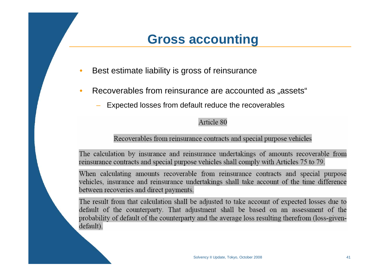### **Gross accounting**

- •Best estimate liability is gross of reinsurance
- $\bullet$ Recoverables from reinsurance are accounted as "assets"
	- Expected losses from default reduce the recoverables

#### Article 80

#### Recoverables from reinsurance contracts and special purpose vehicles

The calculation by insurance and reinsurance undertakings of amounts recoverable from reinsurance contracts and special purpose vehicles shall comply with Articles 75 to 79.

When calculating amounts recoverable from reinsurance contracts and special purpose vehicles, insurance and reinsurance undertakings shall take account of the time difference between recoveries and direct payments.

The result from that calculation shall be adjusted to take account of expected losses due to default of the counterparty. That adjustment shall be based on an assessment of the probability of default of the counterparty and the average loss resulting therefrom (loss-givendefault).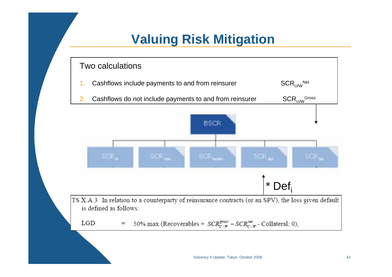### **Valuing Risk Mitigation**

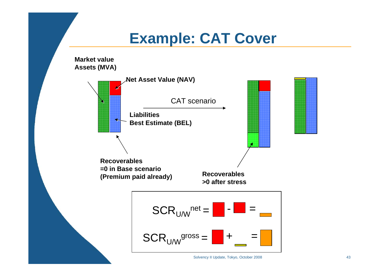# **Example: CAT Cover**

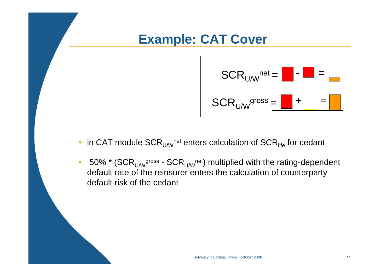### **Example: CAT Cover**



- $\bullet \,\,$  in CAT module SCR $_{\sf U/W}$ <sup>net</sup> enters calculation of SCR $_{\sf life}$  for cedant
- 50% \* (SCR<sub>U/W</sub>gross SCR<sub>U/W</sub>net) multiplied with the rating-dependent default rate of the reinsurer enters the calculation of counterparty default risk of the cedant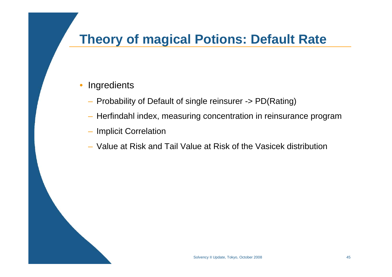### **Theory of magical Potions: Default Rate**

#### $\bullet$ **Ingredients**

- Probability of Default of single reinsurer -> PD(Rating)
- Herfindahl index, measuring concentration in reinsurance program
- Implicit Correlation
- Value at Risk and Tail Value at Risk of the Vasicek distribution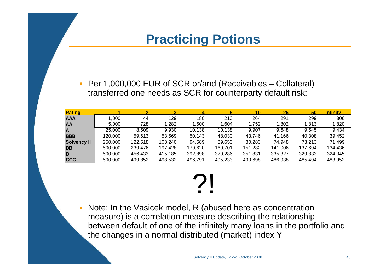### **Practicing Potions**

 $\bullet$  Per 1,000,000 EUR of SCR or/and (Receivables – Collateral) transferred one needs as SCR for counterparty default risk:

| <b>Rating</b>      |         |         |         | 4       | 5       | 10      | 25      | 50      | <i>infinity</i> |
|--------------------|---------|---------|---------|---------|---------|---------|---------|---------|-----------------|
| <b>AAA</b>         | 1.000   | 44      | 129     | 180     | 210     | 264     | 291     | 299     | 306             |
| <b>AA</b>          | 5.000   | 728     | .282    | 500. ا  | 1.604   | 1.752   | 1,802   | 1.813   | 1,820           |
| A                  | 25,000  | 8,509   | 9,930   | 10,138  | 10,138  | 9,907   | 9,648   | 9,545   | 9,434           |
| <b>BBB</b>         | 120,000 | 59.613  | 53.569  | 50,143  | 48.030  | 43.746  | 41,166  | 40.308  | 39,452          |
| <b>Solvency II</b> | 250,000 | 122,518 | 103,240 | 94,589  | 89,653  | 80,283  | 74,948  | 73,213  | 71,499          |
| <b>BB</b>          | 500,000 | 239,476 | 197,428 | 179,620 | 169,701 | 151,282 | 141,006 | 137,694 | 134,436         |
| B                  | 500,000 | 456.433 | 415,185 | 392,898 | 379,286 | 351,831 | 335,327 | 329,833 | 324,345         |
| <b>CCC</b>         | 500,000 | 499,852 | 498,532 | 496,791 | 495,233 | 490,698 | 486,938 | 485,494 | 483,952         |

# ?!

• Note: In the Vasicek model, R (abused here as concentration measure) is a correlation measure describing the relationship between default of one of the infinitely many loans in the portfolio and the changes in a normal distributed (market) index Y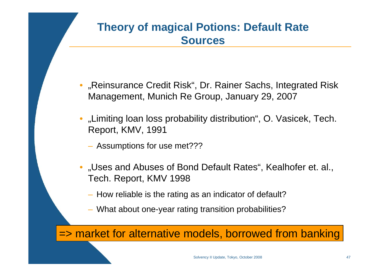### **Theory of magical Potions: Default Rate Sources**

- •"Reinsurance Credit Risk", Dr. Rainer Sachs, Integrated Risk Management, Munich Re Group, January 29, 2007
- "Limiting loan loss probability distribution", O. Vasicek, Tech. Report, KMV, 1991
	- Assumptions for use met???
- "Uses and Abuses of Bond Default Rates", Kealhofer et. al., Tech. Report, KMV 1998
	- How reliable is the rating as an indicator of default?
	- What about one-year rating transition probabilities?

=> market for alternative models, borrowed from banking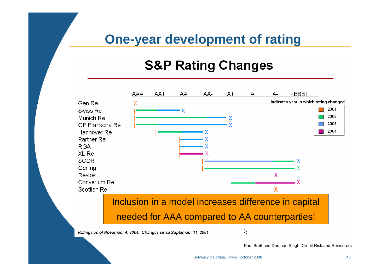### **One-year development of rating**

### **S&P Rating Changes**



Paul Brett and Darshan Singh, Credit Risk and Reinsurers

Solvency II Update, Tokyo, October 2008 48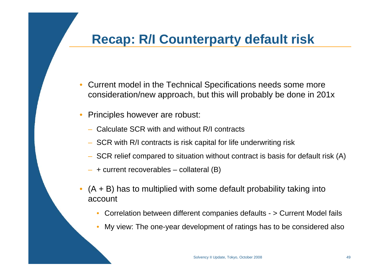### **Recap: R/I Counterparty default risk**

- $\bullet$  Current model in the Technical Specifications needs some more consideration/new approach, but this will probably be done in 201x
- • Principles however are robust:
	- Calculate SCR with and without R/I contracts
	- SCR with R/I contracts is risk capital for life underwriting risk
	- SCR relief compared to situation without contract is basis for default risk (A)
	- + current recoverables collateral (B)
- • $(A + B)$  has to multiplied with some default probability taking into account
	- •Correlation between different companies defaults - > Current Model fails
	- •My view: The one-year development of ratings has to be considered also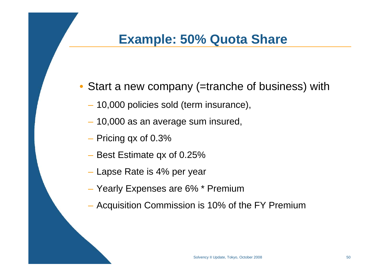### **Example: 50% Quota Share**

- Start a new company (=tranche of business) with
	- 10,000 policies sold (term insurance),
	- 10,000 as an average sum insured,
	- $-$  Pricing qx of 0.3%  $\,$
	- $-$  Best Estimate qx of 0.25%
	- Lapse Rate is 4% per year
	- Yearly Expenses are 6% \* Premium
	- Acquisition Commission is 10% of the FY Premium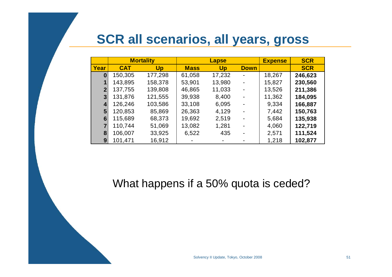### **SCR all scenarios, all years, gross**

|              |            | <b>Mortality</b> | <b>Lapse</b> |        |             | <b>Expense</b> | <b>SCR</b> |
|--------------|------------|------------------|--------------|--------|-------------|----------------|------------|
| Year         | <b>CAT</b> | <b>Up</b>        | <b>Mass</b>  | Up     | <b>Down</b> |                | <b>SCR</b> |
| 0            | 150,305    | 177,298          | 61,058       | 17,232 |             | 18,267         | 246,623    |
|              | 143,895    | 158,378          | 53,901       | 13,980 |             | 15,827         | 230,560    |
| $\mathbf{2}$ | 137,755    | 139,808          | 46,865       | 11,033 | ۰           | 13,526         | 211,386    |
| 3            | 131,876    | 121,555          | 39,938       | 8,400  |             | 11,362         | 184,095    |
| 4            | 126,246    | 103,586          | 33,108       | 6,095  |             | 9,334          | 166,887    |
| 5            | 120,853    | 85,869           | 26,363       | 4,129  |             | 7,442          | 150,763    |
| 6            | 115,689    | 68,373           | 19,692       | 2,519  |             | 5,684          | 135,938    |
|              | 110,744    | 51,069           | 13,082       | 1,281  |             | 4,060          | 122,719    |
| 8            | 106,007    | 33,925           | 6,522        | 435    |             | 2,571          | 111,524    |
| 9            | 101,471    | 16,912           |              |        |             | 1,218          | 102,877    |

What happens if a 50% quota is ceded?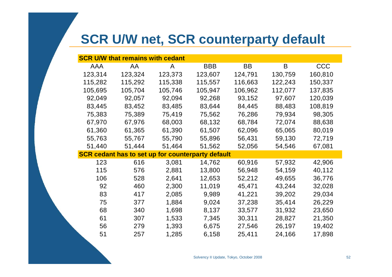### **SCR U/W net, SCR counterparty default**

|            | <b>SCR U/W that remains with cedant</b> |                                                          |            |           |         |            |
|------------|-----------------------------------------|----------------------------------------------------------|------------|-----------|---------|------------|
| <b>AAA</b> | AA                                      | A                                                        | <b>BBB</b> | <b>BB</b> | B       | <b>CCC</b> |
| 123,314    | 123,324                                 | 123,373                                                  | 123,607    | 124,791   | 130,759 | 160,810    |
| 115,282    | 115,292                                 | 115,338                                                  | 115,557    | 116,663   | 122,243 | 150,337    |
| 105,695    | 105,704                                 | 105,746                                                  | 105,947    | 106,962   | 112,077 | 137,835    |
| 92,049     | 92,057                                  | 92,094                                                   | 92,268     | 93,152    | 97,607  | 120,039    |
| 83,445     | 83,452                                  | 83,485                                                   | 83,644     | 84,445    | 88,483  | 108,819    |
| 75,383     | 75,389                                  | 75,419                                                   | 75,562     | 76,286    | 79,934  | 98,305     |
| 67,970     | 67,976                                  | 68,003                                                   | 68,132     | 68,784    | 72,074  | 88,638     |
| 61,360     | 61,365                                  | 61,390                                                   | 61,507     | 62,096    | 65,065  | 80,019     |
| 55,763     | 55,767                                  | 55,790                                                   | 55,896     | 56,431    | 59,130  | 72,719     |
| 51,440     | 51,444                                  | 51,464                                                   | 51,562     | 52,056    | 54,546  | 67,081     |
|            |                                         | <b>SCR cedant has to set up for counterparty default</b> |            |           |         |            |
| 123        | 616                                     | 3,081                                                    | 14,762     | 60,916    | 57,932  | 42,906     |
| 115        | 576                                     | 2,881                                                    | 13,800     | 56,948    | 54,159  | 40,112     |
| 106        | 528                                     | 2,641                                                    | 12,653     | 52,212    | 49,655  | 36,776     |
| 92         | 460                                     | 2,300                                                    | 11,019     | 45,471    | 43,244  | 32,028     |
| 83         | 417                                     | 2,085                                                    | 9,989      | 41,221    | 39,202  | 29,034     |
| 75         | 377                                     | 1,884                                                    | 9,024      | 37,238    | 35,414  | 26,229     |
| 68         | 340                                     | 1,698                                                    | 8,137      | 33,577    | 31,932  | 23,650     |
| 61         | 307                                     | 1,533                                                    | 7,345      | 30,311    | 28,827  | 21,350     |
| 56         | 279                                     | 1,393                                                    | 6,675      | 27,546    | 26,197  | 19,402     |
| 51         | 257                                     | 1,285                                                    | 6,158      | 25,411    | 24,166  | 17,898     |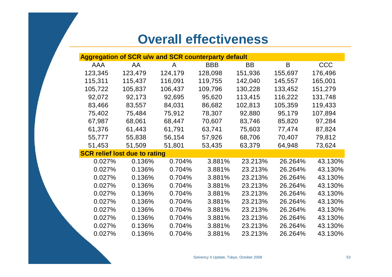### **Overall effectiveness**

| <b>Aggregation of SCR u/w and SCR counterparty default</b> |         |         |            |           |         |            |
|------------------------------------------------------------|---------|---------|------------|-----------|---------|------------|
| <b>AAA</b>                                                 | AA      | A       | <b>BBB</b> | <b>BB</b> | B       | <b>CCC</b> |
| 123,345                                                    | 123,479 | 124,179 | 128,098    | 151,936   | 155,697 | 176,496    |
| 115,311                                                    | 115,437 | 116,091 | 119,755    | 142,040   | 145,557 | 165,001    |
| 105,722                                                    | 105,837 | 106,437 | 109,796    | 130,228   | 133,452 | 151,279    |
| 92,072                                                     | 92,173  | 92,695  | 95,620     | 113,415   | 116,222 | 131,748    |
| 83,466                                                     | 83,557  | 84,031  | 86,682     | 102,813   | 105,359 | 119,433    |
| 75,402                                                     | 75,484  | 75,912  | 78,307     | 92,880    | 95,179  | 107,894    |
| 67,987                                                     | 68,061  | 68,447  | 70,607     | 83,746    | 85,820  | 97,284     |
| 61,376                                                     | 61,443  | 61,791  | 63,741     | 75,603    | 77,474  | 87,824     |
| 55,777                                                     | 55,838  | 56,154  | 57,926     | 68,706    | 70,407  | 79,812     |
| 51,453                                                     | 51,509  | 51,801  | 53,435     | 63,379    | 64,948  | 73,624     |
| <b>SCR relief lost due to rating</b>                       |         |         |            |           |         |            |
| 0.027%                                                     | 0.136%  | 0.704%  | 3.881%     | 23.213%   | 26.264% | 43.130%    |
| 0.027%                                                     | 0.136%  | 0.704%  | 3.881%     | 23.213%   | 26.264% | 43.130%    |
| 0.027%                                                     | 0.136%  | 0.704%  | 3.881%     | 23.213%   | 26.264% | 43.130%    |
| 0.027%                                                     | 0.136%  | 0.704%  | 3.881%     | 23.213%   | 26.264% | 43.130%    |
| 0.027%                                                     | 0.136%  | 0.704%  | 3.881%     | 23.213%   | 26.264% | 43.130%    |
| 0.027%                                                     | 0.136%  | 0.704%  | 3.881%     | 23.213%   | 26.264% | 43.130%    |
| 0.027%                                                     | 0.136%  | 0.704%  | 3.881%     | 23.213%   | 26.264% | 43.130%    |
| 0.027%                                                     | 0.136%  | 0.704%  | 3.881%     | 23.213%   | 26.264% | 43.130%    |
| 0.027%                                                     | 0.136%  | 0.704%  | 3.881%     | 23.213%   | 26.264% | 43.130%    |
| 0.027%                                                     | 0.136%  | 0.704%  | 3.881%     | 23.213%   | 26.264% | 43.130%    |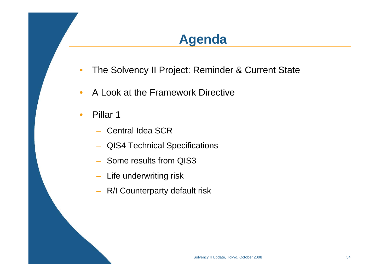### **Agenda**

- •The Solvency II Project: Reminder & Current State
- $\bullet$ A Look at the Framework Directive
- •• Pillar 1
	- Central Idea SCR
	- QIS4 Technical Specifications
	- Some results from QIS3
	- Life underwriting risk
	- R/I Counterparty default risk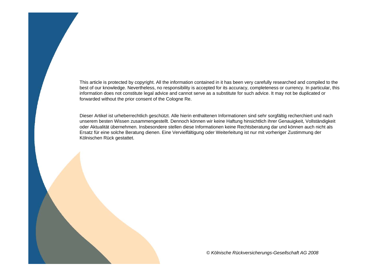This article is protected by copyright. All the information contained in it has been very carefully researched and compiled to the best of our knowledge. Nevertheless, no responsibility is accepted for its accuracy, completeness or currency. In particular, this information does not constitute legal advice and cannot serve as a substitute for such advice. It may not be duplicated or forwarded without the prior consent of the Cologne Re.

Dieser Artikel ist urheberrechtlich geschützt. Alle hierin enthaltenen Informationen sind sehr sorgfältig recherchiert und nach unserem besten Wissen zusammengestellt. Dennoch können wir keine Haftung hinsichtlich ihrer Genauigkeit, Vollständigkeit oder Aktualität übernehmen. Insbesondere stellen diese Informationen keine Rechtsberatung dar und können auch nicht als Ersatz für eine solche Beratung dienen. Eine Vervielfältigung oder Weiterleitung ist nur mit vorheriger Zustimmung der Kölnischen Rück gestattet.

*© Kölnische Rückversicherungs-Gesellschaft AG 2008*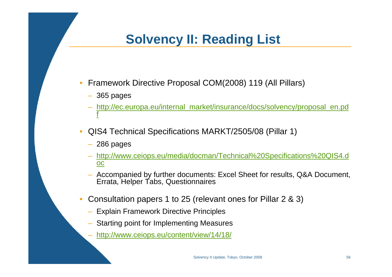### **Solvency II: Reading List**

- $\bullet$  Framework Directive Proposal COM(2008) 119 (All Pillars)
	- 365 pages
	- http://ec.europa.eu/internal\_market/insurance/docs/solvency/proposal\_en.pd f
- • QIS4 Technical Specifications MARKT/2505/08 (Pillar 1)
	- 286 pages
	- http://www.ceiops.eu/media/docman/Technical%20Specifications%20QIS4.d oc
	- Accompanied by further documents: Excel Sheet for results, Q&A Document, Errata, Helper Tabs, Questionnaires
- • Consultation papers 1 to 25 (relevant ones for Pillar 2 & 3)
	- Explain Framework Directive Principles
	- Starting point for Implementing Measures
	- http://www.ceiops.eu/content/view/14/18/